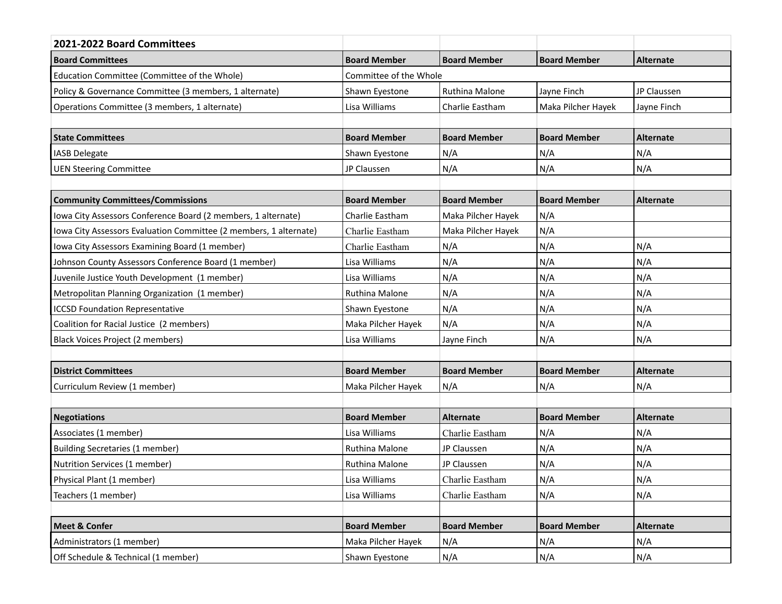| 2021-2022 Board Committees                                        |                        |                       |                     |                  |  |  |
|-------------------------------------------------------------------|------------------------|-----------------------|---------------------|------------------|--|--|
| <b>Board Committees</b>                                           | <b>Board Member</b>    | <b>Board Member</b>   | <b>Board Member</b> | Alternate        |  |  |
| Education Committee (Committee of the Whole)                      | Committee of the Whole |                       |                     |                  |  |  |
| Policy & Governance Committee (3 members, 1 alternate)            | Shawn Eyestone         | <b>Ruthina Malone</b> | Jayne Finch         | JP Claussen      |  |  |
| Operations Committee (3 members, 1 alternate)                     | Lisa Williams          | Charlie Eastham       | Maka Pilcher Hayek  | Jayne Finch      |  |  |
|                                                                   |                        |                       |                     |                  |  |  |
| <b>State Committees</b>                                           | <b>Board Member</b>    | <b>Board Member</b>   | <b>Board Member</b> | <b>Alternate</b> |  |  |
| <b>IASB Delegate</b>                                              | Shawn Eyestone         | N/A                   | N/A                 | N/A              |  |  |
| <b>UEN Steering Committee</b>                                     | JP Claussen            | N/A                   | N/A                 | N/A              |  |  |
|                                                                   |                        |                       |                     |                  |  |  |
| <b>Community Committees/Commissions</b>                           | <b>Board Member</b>    | <b>Board Member</b>   | <b>Board Member</b> | Alternate        |  |  |
| Iowa City Assessors Conference Board (2 members, 1 alternate)     | Charlie Eastham        | Maka Pilcher Hayek    | N/A                 |                  |  |  |
| Iowa City Assessors Evaluation Committee (2 members, 1 alternate) | Charlie Eastham        | Maka Pilcher Hayek    | N/A                 |                  |  |  |
| Iowa City Assessors Examining Board (1 member)                    | Charlie Eastham        | N/A                   | N/A                 | N/A              |  |  |
| Johnson County Assessors Conference Board (1 member)              | Lisa Williams          | N/A                   | N/A                 | N/A              |  |  |
| Juvenile Justice Youth Development (1 member)                     | Lisa Williams          | N/A                   | N/A                 | N/A              |  |  |
| Metropolitan Planning Organization (1 member)                     | Ruthina Malone         | N/A                   | N/A                 | N/A              |  |  |
| <b>ICCSD Foundation Representative</b>                            | Shawn Eyestone         | N/A                   | N/A                 | N/A              |  |  |
| Coalition for Racial Justice (2 members)                          | Maka Pilcher Hayek     | N/A                   | N/A                 | N/A              |  |  |
| Black Voices Project (2 members)                                  | Lisa Williams          | Jayne Finch           | N/A                 | N/A              |  |  |
|                                                                   |                        |                       |                     |                  |  |  |
| <b>District Committees</b>                                        | <b>Board Member</b>    | <b>Board Member</b>   | <b>Board Member</b> | <b>Alternate</b> |  |  |
| Curriculum Review (1 member)                                      | Maka Pilcher Hayek     | N/A                   | N/A                 | N/A              |  |  |
|                                                                   |                        |                       |                     |                  |  |  |
| <b>Negotiations</b>                                               | <b>Board Member</b>    | <b>Alternate</b>      | <b>Board Member</b> | <b>Alternate</b> |  |  |
| Associates (1 member)                                             | Lisa Williams          | Charlie Eastham       | N/A                 | N/A              |  |  |
| <b>Building Secretaries (1 member)</b>                            | Ruthina Malone         | JP Claussen           | N/A                 | N/A              |  |  |
| Nutrition Services (1 member)                                     | Ruthina Malone         | JP Claussen           | N/A                 | N/A              |  |  |
| Physical Plant (1 member)                                         | Lisa Williams          | Charlie Eastham       | N/A                 | N/A              |  |  |
| Teachers (1 member)                                               | Lisa Williams          | Charlie Eastham       | N/A                 | N/A              |  |  |
|                                                                   |                        |                       |                     |                  |  |  |
| <b>Meet &amp; Confer</b>                                          | <b>Board Member</b>    | <b>Board Member</b>   | <b>Board Member</b> | <b>Alternate</b> |  |  |
| Administrators (1 member)                                         | Maka Pilcher Hayek     | N/A                   | N/A                 | N/A              |  |  |
| Off Schedule & Technical (1 member)                               | Shawn Eyestone         | N/A                   | N/A                 | N/A              |  |  |